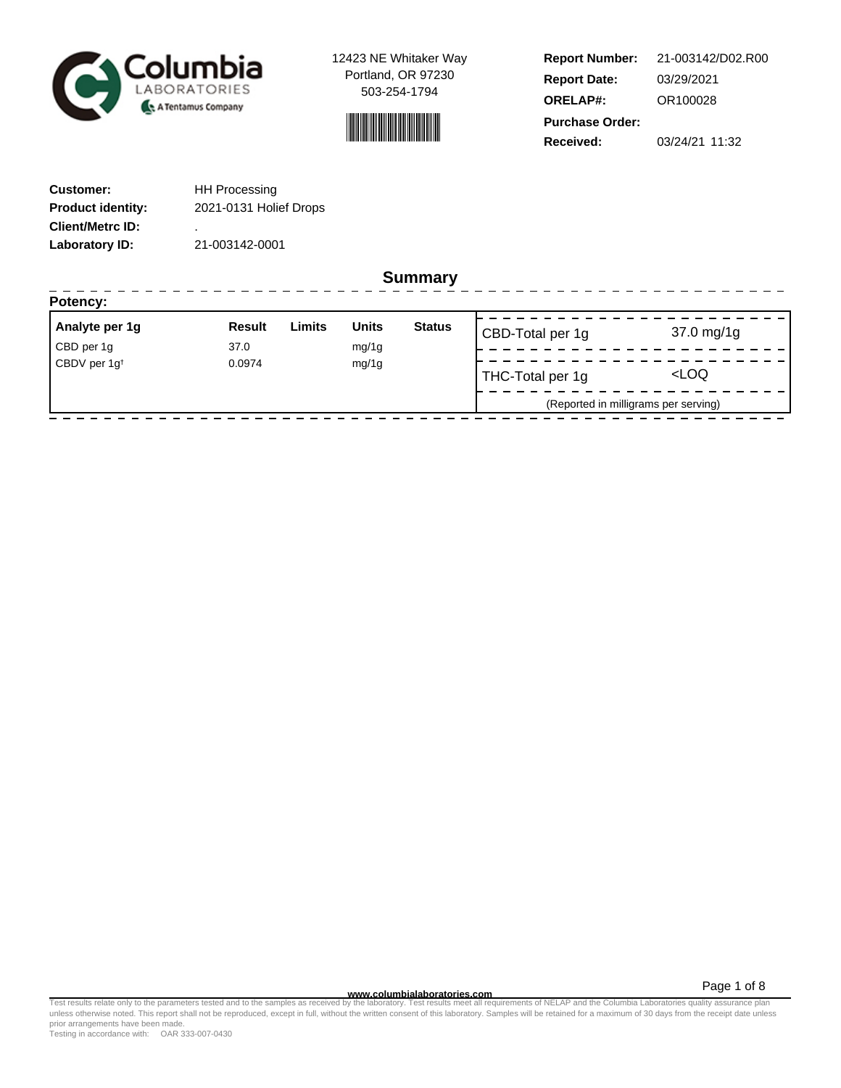

12423 NE Whitaker Way Portland, OR 97230 503-254-1794



**Report Number: Report Date: ORELAP#:** 03/29/2021 OR100028 **Received:** 03/24/21 11:32 **Purchase Order:** 21-003142/D02.R00

| <b>Customer:</b>         | <b>HH Processing</b>   |  |  |
|--------------------------|------------------------|--|--|
| <b>Product identity:</b> | 2021-0131 Holief Drops |  |  |
| <b>Client/Metrc ID:</b>  | ٠                      |  |  |
| Laboratory ID:           | 21-003142-0001         |  |  |

**Summary**

| Analyte per 1g                     | <b>Result</b> | Limits | <b>Units</b> | <b>Status</b>    | CBD-Total per 1g                     | $37.0 \,\mathrm{mg}/1g$ |
|------------------------------------|---------------|--------|--------------|------------------|--------------------------------------|-------------------------|
| CBD per 1g                         | 37.0          |        | mg/1g        |                  |                                      |                         |
| CBDV per 1g <sup>t</sup><br>0.0974 |               | mg/1g  |              | THC-Total per 1g | <loq< td=""></loq<>                  |                         |
|                                    |               |        |              |                  | (Reported in milligrams per serving) |                         |

Page 1 of 8

www.columbialaboratories.com<br>Test results relate only to the parameters tested and to the samples as received by the laboratories metall requirements of NELAP and the Columbia Laboratories quality assurance plan<br>unless oth prior arrangements have been made.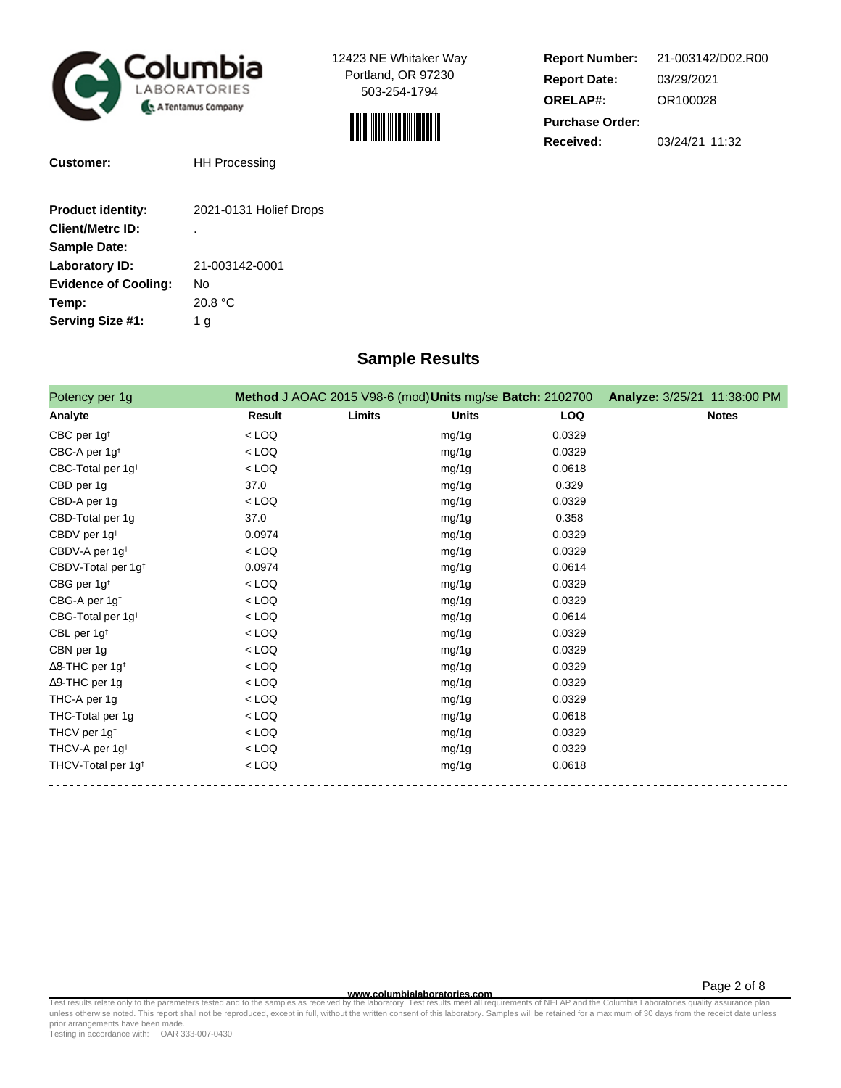

12423 NE Whitaker Way Portland, OR 97230 503-254-1794



| <b>Report Number:</b>  | 21-003142/D02.R00 |  |  |  |
|------------------------|-------------------|--|--|--|
| <b>Report Date:</b>    | 03/29/2021        |  |  |  |
| <b>ORELAP#:</b>        | OR100028          |  |  |  |
| <b>Purchase Order:</b> |                   |  |  |  |
| Received:              | 03/24/21 11:32    |  |  |  |

| <b>Customer:</b> |  |
|------------------|--|
|                  |  |

**HH Processing** 

| <b>Product identity:</b>    | 2021-0131 Holief Drops |
|-----------------------------|------------------------|
| <b>Client/Metrc ID:</b>     | ٠                      |
| <b>Sample Date:</b>         |                        |
| Laboratory ID:              | 21-003142-0001         |
| <b>Evidence of Cooling:</b> | N٥                     |
| Temp:                       | 20.8 °C                |
| Serving Size #1:            | 1 a                    |
|                             |                        |

## **Sample Results**

| Potency per 1g                     |         |        | Method J AOAC 2015 V98-6 (mod) Units mg/se Batch: 2102700 |            | Analyze: 3/25/21 11:38:00 PM |
|------------------------------------|---------|--------|-----------------------------------------------------------|------------|------------------------------|
| Analyte                            | Result  | Limits | <b>Units</b>                                              | <b>LOQ</b> | <b>Notes</b>                 |
| CBC per $1g†$                      | $<$ LOQ |        | mg/1g                                                     | 0.0329     |                              |
| CBC-A per 1g <sup>t</sup>          | $<$ LOQ |        | mg/1g                                                     | 0.0329     |                              |
| CBC-Total per 1g <sup>t</sup>      | $<$ LOQ |        | mg/1g                                                     | 0.0618     |                              |
| CBD per 1g                         | 37.0    |        | mg/1g                                                     | 0.329      |                              |
| CBD-A per 1g                       | $<$ LOQ |        | mg/1g                                                     | 0.0329     |                              |
| CBD-Total per 1g                   | 37.0    |        | mg/1g                                                     | 0.358      |                              |
| CBDV per 1g <sup>t</sup>           | 0.0974  |        | mg/1g                                                     | 0.0329     |                              |
| CBDV-A per 1g <sup>t</sup>         | $<$ LOQ |        | mg/1g                                                     | 0.0329     |                              |
| CBDV-Total per 1g <sup>t</sup>     | 0.0974  |        | mg/1g                                                     | 0.0614     |                              |
| CBG per $1g†$                      | $<$ LOQ |        | mg/1g                                                     | 0.0329     |                              |
| CBG-A per 1g <sup>t</sup>          | $<$ LOQ |        | mg/1g                                                     | 0.0329     |                              |
| CBG-Total per 1g <sup>t</sup>      | $<$ LOQ |        | mg/1g                                                     | 0.0614     |                              |
| CBL per 1g <sup>t</sup>            | $<$ LOQ |        | mg/1g                                                     | 0.0329     |                              |
| CBN per 1g                         | $<$ LOQ |        | mg/1g                                                     | 0.0329     |                              |
| $\Delta$ 8-THC per 1g <sup>+</sup> | $<$ LOQ |        | mg/1g                                                     | 0.0329     |                              |
| $\Delta$ 9-THC per 1g              | $<$ LOQ |        | mg/1g                                                     | 0.0329     |                              |
| THC-A per 1g                       | $<$ LOQ |        | mg/1g                                                     | 0.0329     |                              |
| THC-Total per 1g                   | $<$ LOQ |        | mg/1g                                                     | 0.0618     |                              |
| THCV per 1g <sup>t</sup>           | $<$ LOQ |        | mg/1g                                                     | 0.0329     |                              |
| THCV-A per 1g <sup>t</sup>         | $<$ LOQ |        | mg/1g                                                     | 0.0329     |                              |
| THCV-Total per 1g <sup>+</sup>     | $<$ LOQ |        | mg/1g                                                     | 0.0618     |                              |

**WWW.columbialaboratories.com**<br>unless otherwise noted. This report shall not be reproduced, except in full, without the written consent of this laboratory. Samples will be retained for a maximum of 30 days from the receipt